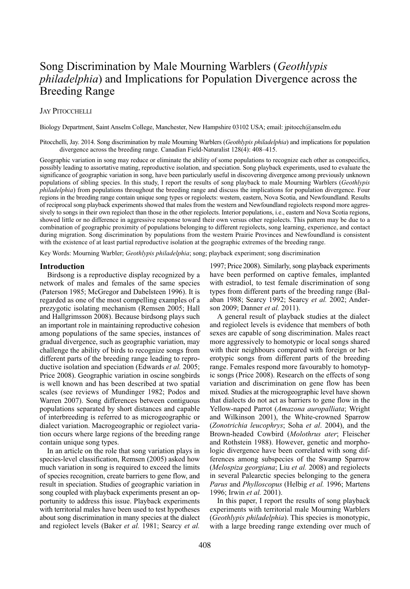# Song Discrimination by Male Mourning Warblers (*Geothlypis philadelphia*) and Implications for Population Divergence across the Breeding Range

# **JAY PITOCCHELLI**

Biology Department, Saint Anselm College, Manchester, New Hampshire 03102 USA; email: jpitocch@anselm.edu

Pitocchelli, Jay. 2014. Song discrimination by male Mourning Warblers (*Geothlypis philadelphia*) and implications for population divergence across the breeding range. Canadian Field-Naturalist 128(4): 408–415.

Geographic variation in song may reduce or eliminate the ability of some populations to recognize each other as conspecifics, possibly leading to assortative mating, reproductive isolation, and speciation. Song playback experiments, used to evaluate the significance of geographic variation in song, have been particularly useful in discovering divergence among previously unknown populations of sibling species. In this study, I report the results of song playback to male Mourning Warblers (*Geothlypis philadelphia*) from populations throughout the breeding range and discuss the implications for population divergence. Four regions in the breeding range contain unique song types or regiolects: western, eastern, Nova Scotia, and Newfoundland. Results of reciprocal song playback experiments showed that males from the western and Newfoundland regiolects respond more aggressively to songs in their own regiolect than those in the other regiolects. Interior populations, i.e., eastern and Nova Scotia regions, showed little or no difference in aggressive response toward their own versus other regiolects. this pattern may be due to a combination of geographic proximity of populations belonging to different regiolects, song learning, experience, and contact during migration. Song discrimination by populations from the western Prairie Provinces and Newfoundland is consistent with the existence of at least partial reproductive isolation at the geographic extremes of the breeding range.

Key Words: Mourning Warbler; *Geothlypis philadelphia*; song; playback experiment; song discrimination

#### **Introduction**

Birdsong is a reproductive display recognized by a network of males and females of the same species (Paterson 1985; McGregor and Dabelsteen 1996). It is regarded as one of the most compelling examples of a prezygotic isolating mechanism (Remsen 2005; hall and hallgrimsson 2008). Because birdsong plays such an important role in maintaining reproductive cohesion among populations of the same species, instances of gradual divergence, such as geographic variation, may challenge the ability of birds to recognize songs from different parts of the breeding range leading to reproductive isolation and speciation (Edwards *et al.* 2005; Price 2008). Geographic variation in oscine songbirds is well known and has been described at two spatial scales (see reviews of Mundinger 1982; Podos and Warren 2007). Song differences between contiguous populations separated by short distances and capable of interbreeding is referred to as microgeographic or dialect variation. Macrogeographic or regiolect variation occurs where large regions of the breeding range contain unique song types.

In an article on the role that song variation plays in species-level classification, Remsen (2005) asked how much variation in song is required to exceed the limits of species recognition, create barriers to gene flow, and result in speciation. Studies of geographic variation in song coupled with playback experiments present an opportunity to address this issue. Playback experiments with territorial males have been used to test hypotheses about song discrimination in many species at the dialect and regiolect levels (Baker *et al.* 1981; Searcy *et al.*

1997; Price 2008). Similarly, song playback experiments have been performed on captive females, implanted with estradiol, to test female discrimination of song types from different parts of the breeding range (Balaban 1988; Searcy 1992; Searcy et al. 2002; Anderson 2009; Danner *et al.* 2011).

a general result of playback studies at the dialect and regiolect levels is evidence that members of both sexes are capable of song discrimination. Males react more aggressively to homotypic or local songs shared with their neighbours compared with foreign or heterotypic songs from different parts of the breeding range. Females respond more favourably to homotypic songs (Price 2008). Research on the effects of song variation and discrimination on gene flow has been mixed. Studies at the microgeographic level have shown that dialects do not act as barriers to gene flow in the yellow-naped Parrot (*Amazona auropalliata*; Wright and Wilkinson 2001), the White-crowned Sparrow (*Zonotrichia leucophrys*; Soha *et al*. 2004), and the Brown-headed cowbird (*Molothrus ater*; Fleischer and Rothstein 1988). However, genetic and morphologic divergence have been correlated with song differences among subspecies of the Swamp Sparrow (*Melospiza georgiana*; liu *et al.* 2008) and regiolects in several Palearctic species belonging to the genera *Parus* and *Phylloscopus* (helbig *et al.* 1996; Martens 1996; Irwin *et al.* 2001).

In this paper, I report the results of song playback experiments with territorial male Mourning Warblers (*Geothlypis philadelphia*). this species is monotypic, with a large breeding range extending over much of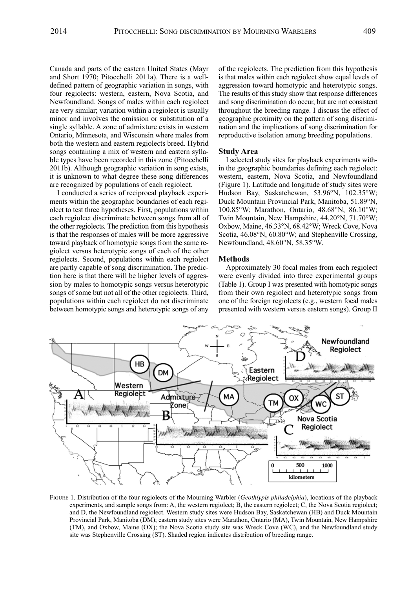canada and parts of the eastern United States (Mayr and Short 1970; Pitocchelli 2011a). There is a welldefined pattern of geographic variation in songs, with four regiolects: western, eastern, Nova Scotia, and Newfoundland. Songs of males within each regiolect are very similar; variation within a regiolect is usually minor and involves the omission or substitution of a single syllable. A zone of admixture exists in western ontario, Minnesota, and Wisconsin where males from both the western and eastern regiolects breed. Hybrid songs containing a mix of western and eastern syllable types have been recorded in this zone (Pitocchelli 2011b). although geographic variation in song exists, it is unknown to what degree these song differences are recognized by populations of each regiolect.

I conducted a series of reciprocal playback experiments within the geographic boundaries of each regiolect to test three hypotheses. First, populations within each regiolect discriminate between songs from all of the other regiolects. The prediction from this hypothesis is that the responses of males will be more aggressive toward playback of homotypic songs from the same regiolect versus heterotypic songs of each of the other regiolects. Second, populations within each regiolect are partly capable of song discrimination. The prediction here is that there will be higher levels of aggression by males to homotypic songs versus heterotypic songs of some but not all of the other regiolects. Third, populations within each regiolect do not discriminate between homotypic songs and heterotypic songs of any of the regiolects. The prediction from this hypothesis is that males within each regiolect show equal levels of aggression toward homotypic and heterotypic songs. The results of this study show that response differences and song discrimination do occur, but are not consistent throughout the breeding range. I discuss the effect of geographic proximity on the pattern of song discrimination and the implications of song discrimination for reproductive isolation among breeding populations.

#### **Study Area**

I selected study sites for playback experiments within the geographic boundaries defining each regiolect: western, eastern, Nova Scotia, and Newfoundland (Figure 1). latitude and longitude of study sites were hudson Bay, Saskatchewan, 53.96°N, 102.35°W; Duck Mountain Provincial Park, Manitoba, 51.89°N, 100.85°W; Marathon, ontario, 48.68°N, 86.10°W; Twin Mountain, New Hampshire, 44.20°N, 71.70°W; oxbow, Maine, 46.33°N, 68.42°W; Wreck cove, Nova Scotia, 46.08°N, 60.80°W; and Stephenville crossing, Newfoundland, 48.60°N, 58.35°W.

#### **Methods**

approximately 30 focal males from each regiolect were evenly divided into three experimental groups (Table 1). Group I was presented with homotypic songs from their own regiolect and heterotypic songs from one of the foreign regiolects (e.g., western focal males presented with western versus eastern songs). Group II



FIGURe 1. Distribution of the four regiolects of the Mourning Warbler (*Geothlypis philadelphia*), locations of the playback experiments, and sample songs from: A, the western regiolect; B, the eastern regiolect; C, the Nova Scotia regiolect; and D, the Newfoundland regiolect. Western study sites were hudson Bay, Saskatchewan (hB) and Duck Mountain Provincial Park, Manitoba (DM); eastern study sites were Marathon, Ontario (MA), Twin Mountain, New Hampshire (TM), and Oxbow, Maine (OX); the Nova Scotia study site was Wreck Cove (WC), and the Newfoundland study site was Stephenville Crossing (ST). Shaded region indicates distribution of breeding range.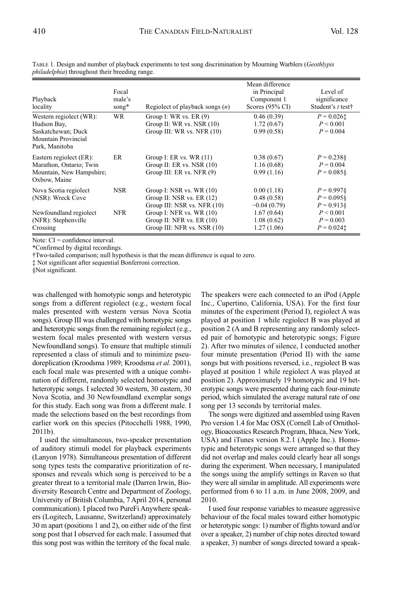| Playback<br>locality                                                                                  | Focal<br>male's<br>song $*$ | Regiolect of playback songs $(n)$                                                       | Mean difference<br>in Principal<br>Component 1<br>Scores $(95\% \text{ CI})$ | Level of<br>significance<br>Student's t test†        |
|-------------------------------------------------------------------------------------------------------|-----------------------------|-----------------------------------------------------------------------------------------|------------------------------------------------------------------------------|------------------------------------------------------|
| Western regiolect (WR):<br>Hudson Bay,<br>Saskatchewan; Duck<br>Mountain Provincial<br>Park, Manitoba | <b>WR</b>                   | Group I: WR vs. $ER(9)$<br>Group II: WR vs. NSR $(10)$<br>Group III: WR vs. NFR (10)    | 0.46(0.39)<br>1.72(0.67)<br>0.99(0.58)                                       | $P = 0.026$ <sup>+</sup><br>P < 0.001<br>$P = 0.004$ |
| Eastern regiolect (ER):<br>Marathon, Ontario; Twin<br>Mountain, New Hampshire;<br>Oxbow, Maine        | ER                          | Group I: ER vs. WR $(11)$<br>Group II: ER vs. NSR $(10)$<br>Group III: ER vs. NFR (9)   | 0.38(0.67)<br>1.16(0.68)<br>0.99(1.16)                                       | $P = 0.2388$<br>$P = 0.004$<br>$P = 0.085$ §         |
| Nova Scotia regiolect<br>(NSR): Wreck Cove                                                            | <b>NSR</b>                  | Group I: NSR vs. WR $(10)$<br>Group II: NSR vs. $ER(12)$<br>Group III: NSR vs. NFR (10) | 0.00(1.18)<br>0.48(0.58)<br>$-0.04(0.79)$                                    | $P = 0.9978$<br>$P = 0.095$<br>$P = 0.9138$          |
| Newfoundland regiolect<br>(NFR): Stephenville<br>Crossing                                             | <b>NFR</b>                  | Group I: NFR vs. WR (10)<br>Group II: NFR vs. ER $(10)$<br>Group III: NFR vs. NSR (10)  | 1.67(0.64)<br>1.08(0.62)<br>1.27(1.06)                                       | P < 0.001<br>$P = 0.003$<br>$P = 0.024$ <sup>+</sup> |

taBle 1. Design and number of playback experiments to test song discrimination by Mourning Warblers (*Geothlypis philadelphia*) throughout their breeding range.

Note:  $CI =$  confidence interval.

\*confirmed by digital recordings.

†two-tailed comparison; null hypothesis is that the mean difference is equal to zero.

‡ Not significant after sequential Bonferroni correction.

§Not significant.

was challenged with homotypic songs and heterotypic songs from a different regiolect (e.g., western focal males presented with western versus Nova Scotia songs). Group III was challenged with homotypic songs and heterotypic songs from the remaining regiolect (e.g., western focal males presented with western versus Newfoundland songs). To ensure that multiple stimuli represented a class of stimuli and to minimize pseudoreplication (Kroodsma 1989; Kroodsma *et al.* 2001), each focal male was presented with a unique combination of different, randomly selected homotypic and heterotypic songs. I selected 30 western, 30 eastern, 30 Nova Scotia, and 30 Newfoundland exemplar songs for this study. Each song was from a different male. I made the selections based on the best recordings from earlier work on this species (Pitocchelli 1988, 1990, 2011b).

I used the simultaneous, two-speaker presentation of auditory stimuli model for playback experiments (lanyon 1978). Simultaneous presentation of different song types tests the comparative prioritization of responses and reveals which song is perceived to be a greater threat to a territorial male (Darren Irwin, Biodiversity Research centre and Department of Zoology, University of British columbia, 7 april 2014, personal communication). I placed two PureFi Anywhere speakers (logitech, lausanne, Switzerland) approximately 30 m apart (positions 1 and 2), on either side of the first song post that I observed for each male. I assumed that this song post was within the territory of the focal male. The speakers were each connected to an iPod (Apple Inc., cupertino, california, USa). For the first four minutes of the experiment (Period I), regiolect A was played at position 1 while regiolect B was played at position 2 (A and B representing any randomly selected pair of homotypic and heterotypic songs; Figure 2). after two minutes of silence, I conducted another four minute presentation (Period II) with the same songs but with positions reversed, i.e., regiolect B was played at position 1 while regiolect A was played at position 2). Approximately 19 homotypic and 19 heterotypic songs were presented during each four-minute period, which simulated the average natural rate of one song per 13 seconds by territorial males.

The songs were digitized and assembled using Raven Pro version 1.4 for Mac OSX (Cornell Lab of Ornithology, Bioacoustics Research Program, Ithaca, New york, USA) and iTunes version 8.2.1 (Apple Inc.). Homotypic and heterotypic songs were arranged so that they did not overlap and males could clearly hear all songs during the experiment. When necessary, I manipulated the songs using the amplify settings in Raven so that they were all similar in amplitude. All experiments were performed from 6 to 11 a.m. in June 2008, 2009, and 2010.

I used four response variables to measure aggressive behaviour of the focal males toward either homotypic or heterotypic songs: 1) number of flights toward and/or over a speaker, 2) number of chip notes directed toward a speaker, 3) number of songs directed toward a speak-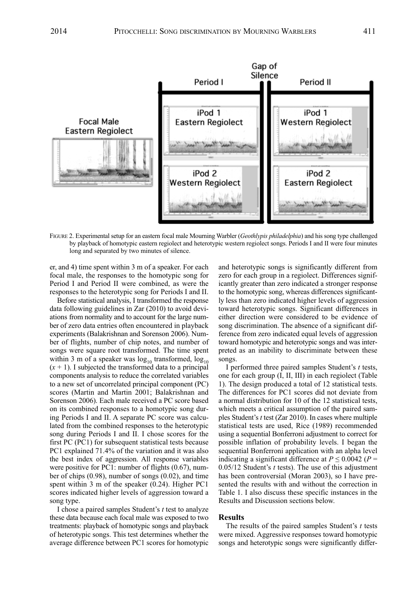

FIGURE 2. Experimental setup for an eastern focal male Mourning Warbler (*Geothlypis philadelphia*) and his song type challenged by playback of homotypic eastern regiolect and heterotypic western regiolect songs. Periods I and II were four minutes long and separated by two minutes of silence.

er, and 4) time spent within 3 m of a speaker. For each focal male, the responses to the homotypic song for Period I and Period II were combined, as were the responses to the heterotypic song for Periods I and II.

Before statistical analysis, I transformed the response data following guidelines in Zar (2010) to avoid deviations from normality and to account for the large number of zero data entries often encountered in playback experiments (Balakrishnan and Sorenson 2006). Number of flights, number of chip notes, and number of songs were square root transformed. The time spent within 3 m of a speaker was  $log_{10}$  transformed,  $log_{10}$  $(x + 1)$ . I subjected the transformed data to a principal components analysis to reduce the correlated variables to a new set of uncorrelated principal component (Pc) scores (Martin and Martin 2001; Balakrishnan and Sorenson 2006). Each male received a PC score based on its combined responses to a homotypic song during Periods I and II. A separate PC score was calculated from the combined responses to the heterotypic song during Periods I and II. I chose scores for the first Pc (Pc1) for subsequent statistical tests because Pc1 explained 71.4% of the variation and it was also the best index of aggression. all response variables were positive for PC1: number of flights  $(0.67)$ , number of chips (0.98), number of songs (0.02), and time spent within 3 m of the speaker  $(0.24)$ . Higher PC1 scores indicated higher levels of aggression toward a song type.

I chose a paired samples Student's *t* test to analyze these data because each focal male was exposed to two treatments: playback of homotypic songs and playback of heterotypic songs. This test determines whether the average difference between Pc1 scores for homotypic and heterotypic songs is significantly different from zero for each group in a regiolect. Differences significantly greater than zero indicated a stronger response to the homotypic song, whereas differences significantly less than zero indicated higher levels of aggression toward heterotypic songs. Significant differences in either direction were considered to be evidence of song discrimination. The absence of a significant difference from zero indicated equal levels of aggression toward homotypic and heterotypic songs and was interpreted as an inability to discriminate between these songs.

I performed three paired samples Student's *t* tests, one for each group (I, II, III) in each regiolect (Table 1). the design produced a total of 12 statistical tests. The differences for PC1 scores did not deviate from a normal distribution for 10 of the 12 statistical tests, which meets a critical assumption of the paired samples Student's *t* test (Zar 2010). In cases where multiple statistical tests are used, Rice (1989) recommended using a sequential Bonferroni adjustment to correct for possible inflation of probability levels. I began the sequential Bonferroni application with an alpha level indicating a significant difference at  $P \le 0.0042$  ( $P =$  $0.05/12$  Student's *t* tests). The use of this adjustment has been controversial (Moran 2003), so I have presented the results with and without the correction in Table 1. I also discuss these specific instances in the Results and Discussion sections below.

# **Results**

The results of the paired samples Student's *t* tests were mixed. Aggressive responses toward homotypic songs and heterotypic songs were significantly differ-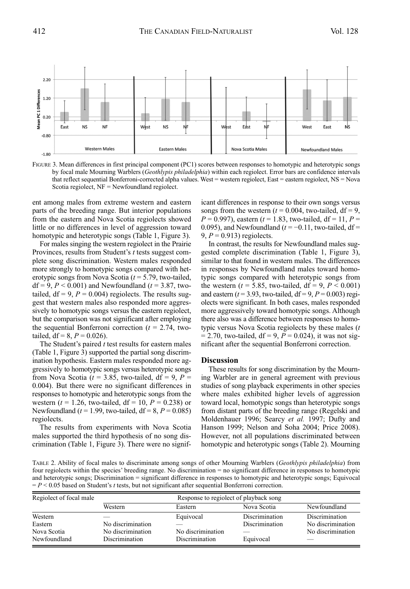

FIGURe 3. Mean differences in first principal component (Pc1) scores between responses to homotypic and heterotypic songs by focal male Mourning Warblers (*Geothlypis philadelphia*) within each regiolect. error bars are confidence intervals that reflect sequential Bonferroni-corrected alpha values. West = western regiolect, East = eastern regiolect, NS = Nova Scotia regiolect, NF = Newfoundland regiolect.

ent among males from extreme western and eastern parts of the breeding range. But interior populations from the eastern and Nova Scotia regiolects showed little or no differences in level of aggression toward homotypic and heterotypic songs (Table 1, Figure 3).

For males singing the western regiolect in the Prairie Provinces, results from Student's *t* tests suggest complete song discrimination. Western males responded more strongly to homotypic songs compared with heterotypic songs from Nova Scotia (*t* = 5.79, two-tailed, df = 9,  $P$  < 0.001) and Newfoundland ( $t$  = 3.87, twotailed,  $df = 9$ ,  $P = 0.004$ ) regiolects. The results suggest that western males also responded more aggressively to homotypic songs versus the eastern regiolect, but the comparison was not significant after employing the sequential Bonferroni correction  $(t = 2.74,$  twotailed,  $df = 8$ ,  $P = 0.026$ ).

The Student's paired *t* test results for eastern males  $(Table 1, Figure 3)$  supported the partial song discrimination hypothesis. Eastern males responded more aggressively to homotypic songs versus heterotypic songs from Nova Scotia ( $t = 3.85$ , two-tailed, df = 9,  $P =$ 0.004). But there were no significant differences in responses to homotypic and heterotypic songs from the western ( $t = 1.26$ , two-tailed,  $df = 10$ ,  $P = 0.238$ ) or Newfoundland ( $t = 1.99$ , two-tailed,  $df = 8, P = 0.085$ ) regiolects.

The results from experiments with Nova Scotia males supported the third hypothesis of no song discrimination (Table 1, Figure 3). There were no significant differences in response to their own songs versus songs from the western  $(t = 0.004$ , two-tailed,  $df = 9$ ,  $P = 0.997$ , eastern ( $t = 1.83$ , two-tailed, df = 11,  $P =$ 0.095), and Newfoundland  $(t = -0.11$ , two-tailed, df = 9,  $P = 0.913$  regiolects.

In contrast, the results for Newfoundland males suggested complete discrimination (Table 1, Figure 3), similar to that found in western males. The differences in responses by Newfoundland males toward homotypic songs compared with heterotypic songs from the western ( $t = 5.85$ , two-tailed, df = 9,  $P < 0.001$ ) and eastern ( $t = 3.93$ , two-tailed,  $df = 9$ ,  $P = 0.003$ ) regiolects were significant. In both cases, males responded more aggressively toward homotypic songs. although there also was a difference between responses to homotypic versus Nova Scotia regiolects by these males (*t*  $= 2.70$ , two-tailed, df = 9,  $P = 0.024$ ), it was not significant after the sequential Bonferroni correction.

#### **Discussion**

These results for song discrimination by the Mourning Warbler are in general agreement with previous studies of song playback experiments in other species where males exhibited higher levels of aggression toward local, homotypic songs than heterotypic songs from distant parts of the breeding range (Regelski and Moldenhauer 1996; Searcy *et al.* 1997; Dufty and hanson 1999; Nelson and Soha 2004; Price 2008). however, not all populations discriminated between homotypic and heterotypic songs (Table 2). Mourning

taBle 2. ability of focal males to discriminate among songs of other Mourning Warblers (*Geothlypis philadelphia*) from four regiolects within the species' breeding range. No discrimination = no significant difference in responses to homotypic and heterotypic songs; Discrimination = significant difference in responses to homotypic and heterotypic songs; Equivocal = *P* < 0.05 based on Student's *t* tests, but not significant after sequential Bonferroni correction.

| Regiolect of focal male |                   | Response to regiolect of playback song |                |                   |  |  |
|-------------------------|-------------------|----------------------------------------|----------------|-------------------|--|--|
|                         | Western           | Eastern                                | Nova Scotia    | Newfoundland      |  |  |
| Western                 |                   | Equivocal                              | Discrimination | Discrimination    |  |  |
| Eastern                 | No discrimination |                                        | Discrimination | No discrimination |  |  |
| Nova Scotia             | No discrimination | No discrimination                      |                | No discrimination |  |  |
| Newfoundland            | Discrimination    | Discrimination                         | Equivocal      |                   |  |  |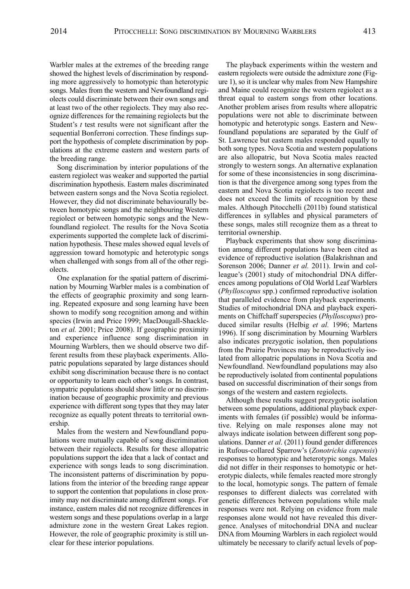Warbler males at the extremes of the breeding range showed the highest levels of discrimination by responding more aggressively to homotypic than heterotypic songs. Males from the western and Newfoundland regiolects could discriminate between their own songs and at least two of the other regiolects. They may also recognize differences for the remaining regiolects but the Student's *t* test results were not significant after the sequential Bonferroni correction. These findings support the hypothesis of complete discrimination by populations at the extreme eastern and western parts of the breeding range.

Song discrimination by interior populations of the eastern regiolect was weaker and supported the partial discrimination hypothesis. Eastern males discriminated between eastern songs and the Nova Scotia regiolect. however, they did not discriminate behaviourally between homotypic songs and the neighbouring Western regiolect or between homotypic songs and the Newfoundland regiolect. The results for the Nova Scotia experiments supported the complete lack of discrimination hypothesis. These males showed equal levels of aggression toward homotypic and heterotypic songs when challenged with songs from all of the other regiolects.

One explanation for the spatial pattern of discrimination by Mourning Warbler males is a combination of the effects of geographic proximity and song learning. Repeated exposure and song learning have been shown to modify song recognition among and within species (Irwin and Price 1999; MacDougall-Shackleton *et al.* 2001; Price 2008). If geographic proximity and experience influence song discrimination in Mourning Warblers, then we should observe two different results from these playback experiments. allopatric populations separated by large distances should exhibit song discrimination because there is no contact or opportunity to learn each other's songs. In contrast, sympatric populations should show little or no discrimination because of geographic proximity and previous experience with different song types that they may later recognize as equally potent threats to territorial ownership.

Males from the western and Newfoundland populations were mutually capable of song discrimination between their regiolects. Results for these allopatric populations support the idea that a lack of contact and experience with songs leads to song discrimination. The inconsistent patterns of discrimination by populations from the interior of the breeding range appear to support the contention that populations in close proximity may not discriminate among different songs. For instance, eastern males did not recognize differences in western songs and these populations overlap in a large admixture zone in the western Great lakes region. however, the role of geographic proximity is still unclear for these interior populations.

The playback experiments within the western and eastern regiolects were outside the admixture zone (Figure 1), so it is unclear why males from New hampshire and Maine could recognize the western regiolect as a threat equal to eastern songs from other locations. another problem arises from results where allopatric populations were not able to discriminate between homotypic and heterotypic songs. Eastern and Newfoundland populations are separated by the Gulf of St. lawrence but eastern males responded equally to both song types. Nova Scotia and western populations are also allopatric, but Nova Scotia males reacted strongly to western songs. An alternative explanation for some of these inconsistencies in song discrimination is that the divergence among song types from the eastern and Nova Scotia regiolects is too recent and does not exceed the limits of recognition by these males. although Pitocchelli (2011b) found statistical differences in syllables and physical parameters of these songs, males still recognize them as a threat to territorial ownership.

Playback experiments that show song discrimination among different populations have been cited as evidence of reproductive isolation (Balakrishnan and Sorenson 2006; Danner *et al.* 2011). Irwin and colleague's (2001) study of mitochondrial DNa differences among populations of old World leaf Warblers (*Phylloscopus* spp.) confirmed reproductive isolation that paralleled evidence from playback experiments. Studies of mitochondrial DNa and playback experiments on chiffchaff superspecies (*Phylloscopus*) produced similar results (helbig *et al.* 1996; Martens 1996). If song discrimination by Mourning Warblers also indicates prezygotic isolation, then populations from the Prairie Provinces may be reproductively isolated from allopatric populations in Nova Scotia and Newfoundland. Newfoundland populations may also be reproductively isolated from continental populations based on successful discrimination of their songs from songs of the western and eastern regiolects.

although these results suggest prezygotic isolation between some populations, additional playback experiments with females (if possible) would be informative. Relying on male responses alone may not always indicate isolation between different song populations. Danner *et al*. (2011) found gender differences in Rufous-collared Sparrow's (*Zonotrichia capensis*) responses to homotypic and heterotypic songs. Males did not differ in their responses to homotypic or heterotypic dialects, while females reacted more strongly to the local, homotypic songs. The pattern of female responses to different dialects was correlated with genetic differences between populations while male responses were not. Relying on evidence from male responses alone would not have revealed this divergence. Analyses of mitochondrial DNA and nuclear DNa from Mourning Warblers in each regiolect would ultimately be necessary to clarify actual levels of pop-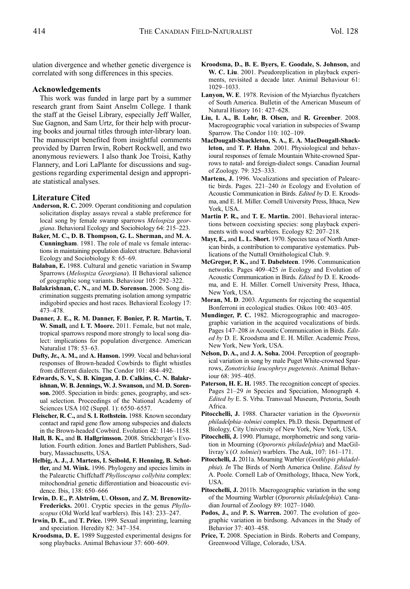ulation divergence and whether genetic divergence is correlated with song differences in this species.

## **Acknowledgements**

This work was funded in large part by a summer research grant from Saint Anselm College. I thank the staff at the Geisel Library, especially Jeff Waller, Sue Gagnon, and Sam Urtz, for their help with procuring books and journal titles through inter-library loan. The manuscript benefited from insightful comments provided by Darren Irwin, Robert Rockwell, and two anonymous reviewers. I also thank Joe Troisi, Kathy Flannery, and Lori LaPlante for discussions and suggestions regarding experimental design and appropriate statistical analyses.

## **Literature Cited**

- Anderson, R. C. 2009. Operant conditioning and copulation solicitation display assays reveal a stable preference for local song by female swamp sparrows *Melospiza geor*giana. Behavioral Ecology and Sociobiology 64: 215-223.
- **Baker, M. C., D. B. Thompson, G. L. Sherman,** and **M. A. Cunningham**. 1981. The role of male vs female interactions in maintaining population dialect structure. Behavioral Ecology and Sociobiology 8: 65–69.
- **Balaban, E.** 1988. cultural and genetic variation in Swamp Sparrows (*Melospiza Georgiana*). II Behavioral salience of geographic song variants. Behaviour 105: 292–322.
- **Balakrishnan, C. N.,** and **M. D. Sorenson.** 2006. Song discrimination suggests premating isolation among sympatric indigobird species and host races. Behavioral Ecology 17: 473–478.
- **Danner, J. E., R. M. Danner, F. Bonier, P. R. Martin, T. W. Small,** and **I. T. Moore.** 2011. Female, but not male, tropical sparrows respond more strongly to local song dialect: implications for population divergence. American Naturalist 178: 53–63.
- **Dufty, Jr., A. M.,** and **A. Hanson.** 1999. Vocal and behavioral responses of Brown-headed cowbirds to flight whistles from different dialects. The Condor 101: 484–492.
- **Edwards, S. V., S. B. Kingan, J. D. Calkins, C. N. Balakrishnan, W. B. Jennings, W. J. Swanson,** and **M. D. Sorenson.** 2005. Speciation in birds: genes, geography, and sexual selection. Proceedings of the National Academy of Sciences USa 102 (Suppl. 1): 6550–6557.
- **Fleischer, R. C.,** and **S. I. Rothstein.** 1988. Known secondary contact and rapid gene flow among subspecies and dialects in the Brown-headed Cowbird. Evolution 42: 1146-1158.
- Hall, B. K., and B. Hallgrimsson. 2008. Strickberger's Evolution. Fourth edition. Jones and Bartlett Publishers, Sudbury, Massachusetts, USa.
- **Helbig, A. J., J. Martens, I. Seibold, F. Henning, B. Schottler,** and **M. Wink.** 1996. Phylogeny and species limits in the Palearctic chiffchaff *Phylloscopus collybita* complex: mitochondrial genetic differentiation and bioacoustic evidence. Ibis, 138: 650–666
- **Irwin, D. E., P. Alström, U. Olsson,** and **Z. M. Brenowitz-Fredericks.** 2001. cryptic species in the genus *Phylloscopus* (old World leaf warblers). Ibis 143: 233–247.
- **Irwin, D. E.,** and **T. Price.** 1999. Sexual imprinting, learning and speciation. heredity 82: 347–354.
- **Kroodsma, D. E.** 1989 Suggested experimental designs for song playbacks. Animal Behaviour 37: 600-609.
- **Kroodsma, D., B. E. Byers, E. Goodale, S. Johnson,** and **W. C. Liu**. 2001. Pseudoreplication in playback experiments, revisited a decade later. Animal Behaviour 61: 1029–1033.
- **Lanyon, W. E**. 1978. Revision of the Myiarchus flycatchers of South America. Bulletin of the American Museum of Natural History 161: 427-628.
- **Liu, I. A., B. Lohr, B. Olsen,** and **R. Greenber**. 2008. Macrogeographic vocal variation in subspecies of Swamp Sparrow. The Condor 110: 102–109.
- **MacDougall-Shackleton, S. A., E. A. MacDougall-Shackleton,** and **T. P. Hahn**. 2001. Physiological and behavioural responses of female Mountain White-crowned Sparrows to natal- and foreign-dialect songs. canadian Journal of Zoology. 79: 325–333.
- **Martens, J.** 1996. Vocalizations and speciation of Palearctic birds. Pages. 221–240 *in* Ecology and Evolution of Acoustic Communication in Birds. *Edited by* D. E. Kroodsma, and E. H. Miller. Cornell University Press, Ithaca, New York, USA.
- **Martin P. R.,** and **T. E. Martin.** 2001. Behavioral interactions between coexisting species: song playback experiments with wood warblers. Ecology 82: 207–218.
- **Mayr, E.,** and **L. L. Short.** 1970. Species taxa of North american birds, a contribution to comparative systematics. Publications of the Nuttall Ornithological Club. 9.
- **McGregor, P. K.,** and **T. Dabelsteen**. 1996. communication networks. Pages 409-425 in Ecology and Evolution of Acoustic Communication in Birds. *Edited by* D. E. Kroodsma, and E. H. Miller. Cornell University Press, Ithaca, New york, USa.
- **Moran, M. D.** 2003. Arguments for rejecting the sequential Bonferroni in ecological studies. Oikos 100: 403-405.
- **Mundinger, P. C.** 1982. Microgeographic and macrogeographic variation in the acquired vocalizations of birds. Pages 147-208 in Acoustic Communication in Birds. *Edit*ed by D. E. Kroodsma and E. H. Miller. Academic Press, New york, New york, USa.
- **Nelson, D. A.,** and **J. A. Soha.** 2004. Perception of geographical variation in song by male Puget White-crowned Sparrows, *Zonotrichia leucophrys pugetensis*. animal Behaviour 68: 395–405.
- Paterson, H. E. H. 1985. The recognition concept of species. Pages 21–29 *in* Species and Speciation, Monograph 4. *Edited by* E. S. Vrba. Transvaal Museum, Pretoria, South Africa.
- **Pitocchelli, J.** 1988. character variation in the *Oporornis philadelphia–tolmiei* complex. Ph.D. thesis. Department of Biology, city University of New york, New york, USa.
- **Pitocchelli, J.** 1990. Plumage, morphometric and song variation in Mourning (*Oporornis philadelphia*) and MacGillivray's (O. *tolmiei*) warblers. The Auk, 107: 161-171.
- **Pitocchelli, J.** 2011a. Mourning Warbler (*Geothlypis philadelphia*). *In* The Birds of North America Online. *Edited by* A. Poole. Cornell Lab of Ornithology, Ithaca, New York, USa.
- **Pitocchelli, J.** 2011b. Macrogeographic variation in the song of the Mourning Warbler (*Oporornis philadelphia*). canadian Journal of Zoology 89: 1027–1040.
- **Podos, J.,** and **P. S. Warren.** 2007. the evolution of geographic variation in birdsong. Advances in the Study of Behavior 37: 403–458.
- **Price, T.** 2008. Speciation in Birds. Roberts and company, Greenwood Village, colorado, USa.